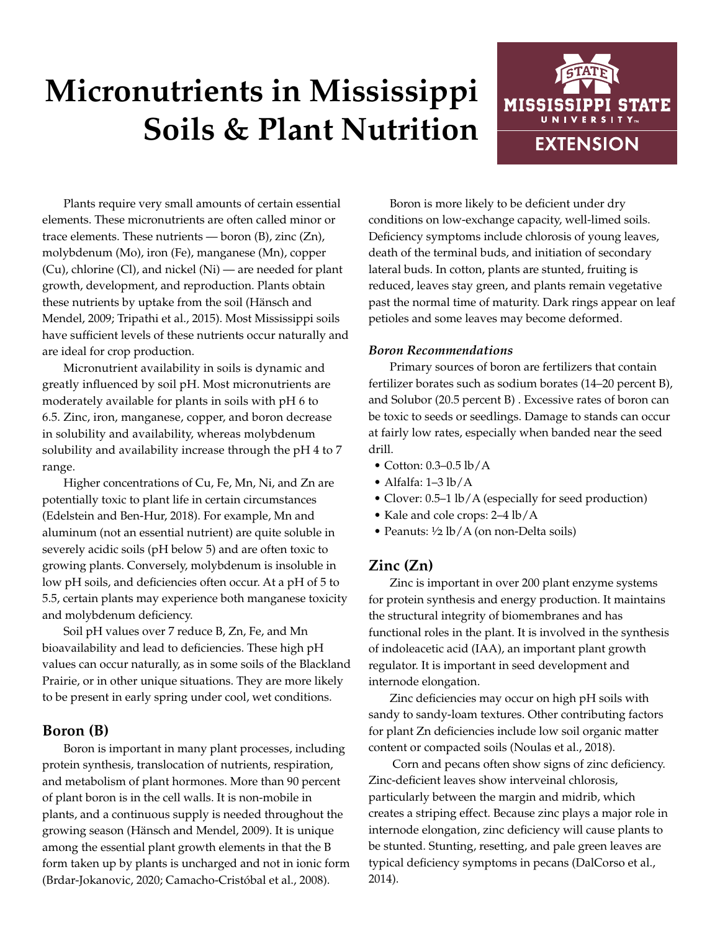# **Micronutrients in Mississippi Soils & Plant Nutrition**



Plants require very small amounts of certain essential elements. These micronutrients are often called minor or trace elements. These nutrients — boron (B), zinc (Zn), molybdenum (Mo), iron (Fe), manganese (Mn), copper (Cu), chlorine (Cl), and nickel (Ni) — are needed for plant growth, development, and reproduction. Plants obtain these nutrients by uptake from the soil (Hänsch and Mendel, 2009; Tripathi et al., 2015). Most Mississippi soils have sufficient levels of these nutrients occur naturally and are ideal for crop production.

Micronutrient availability in soils is dynamic and greatly influenced by soil pH. Most micronutrients are moderately available for plants in soils with pH 6 to 6.5. Zinc, iron, manganese, copper, and boron decrease in solubility and availability, whereas molybdenum solubility and availability increase through the pH 4 to 7 range.

Higher concentrations of Cu, Fe, Mn, Ni, and Zn are potentially toxic to plant life in certain circumstances (Edelstein and Ben-Hur, 2018). For example, Mn and aluminum (not an essential nutrient) are quite soluble in severely acidic soils (pH below 5) and are often toxic to growing plants. Conversely, molybdenum is insoluble in low pH soils, and deficiencies often occur. At a pH of 5 to 5.5, certain plants may experience both manganese toxicity and molybdenum deficiency.

Soil pH values over 7 reduce B, Zn, Fe, and Mn bioavailability and lead to deficiencies. These high pH values can occur naturally, as in some soils of the Blackland Prairie, or in other unique situations. They are more likely to be present in early spring under cool, wet conditions.

# **Boron (B)**

Boron is important in many plant processes, including protein synthesis, translocation of nutrients, respiration, and metabolism of plant hormones. More than 90 percent of plant boron is in the cell walls. It is non-mobile in plants, and a continuous supply is needed throughout the growing season (Hänsch and Mendel, 2009). It is unique among the essential plant growth elements in that the B form taken up by plants is uncharged and not in ionic form (Brdar-Jokanovic, 2020; Camacho-Cristóbal et al., 2008).

Boron is more likely to be deficient under dry conditions on low-exchange capacity, well-limed soils. Deficiency symptoms include chlorosis of young leaves, death of the terminal buds, and initiation of secondary lateral buds. In cotton, plants are stunted, fruiting is reduced, leaves stay green, and plants remain vegetative past the normal time of maturity. Dark rings appear on leaf petioles and some leaves may become deformed.

### *Boron Recommendations*

Primary sources of boron are fertilizers that contain fertilizer borates such as sodium borates (14–20 percent B), and Solubor (20.5 percent B) . Excessive rates of boron can be toxic to seeds or seedlings. Damage to stands can occur at fairly low rates, especially when banded near the seed drill.

- Cotton: 0.3–0.5 lb/A
- Alfalfa: 1–3 lb/A
- Clover: 0.5–1 lb/A (especially for seed production)
- Kale and cole crops: 2–4 lb/A
- Peanuts:  $\frac{1}{2}$  lb/A (on non-Delta soils)

# **Zinc (Zn)**

Zinc is important in over 200 plant enzyme systems for protein synthesis and energy production. It maintains the structural integrity of biomembranes and has functional roles in the plant. It is involved in the synthesis of indoleacetic acid (IAA), an important plant growth regulator. It is important in seed development and internode elongation.

Zinc deficiencies may occur on high pH soils with sandy to sandy-loam textures. Other contributing factors for plant Zn deficiencies include low soil organic matter content or compacted soils (Noulas et al., 2018).

 Corn and pecans often show signs of zinc deficiency. Zinc-deficient leaves show interveinal chlorosis, particularly between the margin and midrib, which creates a striping effect. Because zinc plays a major role in internode elongation, zinc deficiency will cause plants to be stunted. Stunting, resetting, and pale green leaves are typical deficiency symptoms in pecans (DalCorso et al., 2014).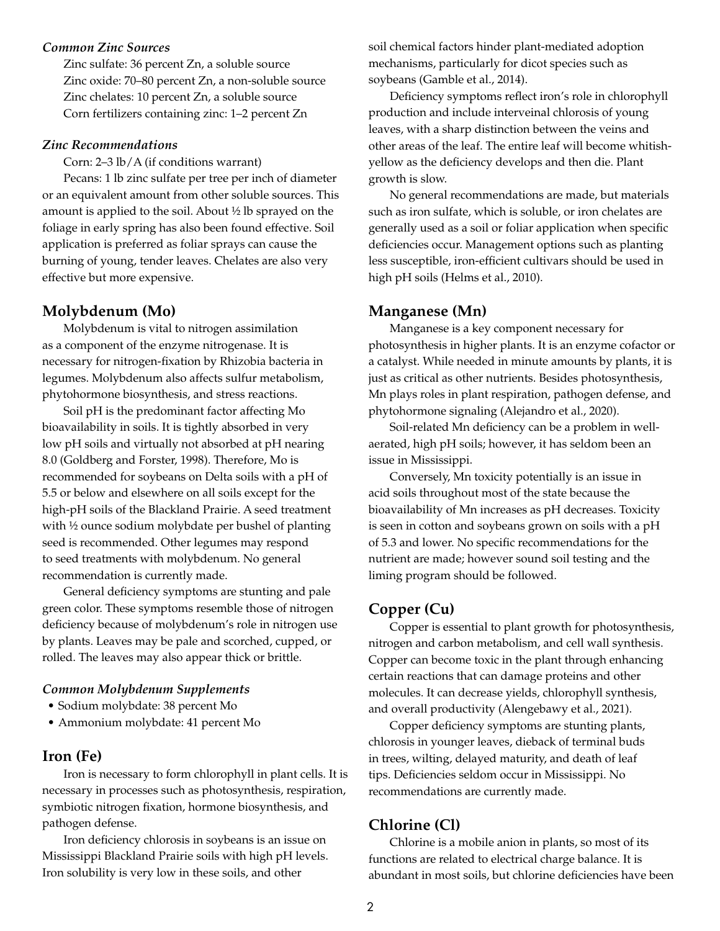#### *Common Zinc Sources*

Zinc sulfate: 36 percent Zn, a soluble source Zinc oxide: 70–80 percent Zn, a non-soluble source Zinc chelates: 10 percent Zn, a soluble source Corn fertilizers containing zinc: 1–2 percent Zn

#### *Zinc Recommendations*

Corn: 2–3 lb/A (if conditions warrant)

Pecans: 1 lb zinc sulfate per tree per inch of diameter or an equivalent amount from other soluble sources. This amount is applied to the soil. About ½ lb sprayed on the foliage in early spring has also been found effective. Soil application is preferred as foliar sprays can cause the burning of young, tender leaves. Chelates are also very effective but more expensive.

#### **Molybdenum (Mo)**

Molybdenum is vital to nitrogen assimilation as a component of the enzyme nitrogenase. It is necessary for nitrogen-fixation by Rhizobia bacteria in legumes. Molybdenum also affects sulfur metabolism, phytohormone biosynthesis, and stress reactions.

Soil pH is the predominant factor affecting Mo bioavailability in soils. It is tightly absorbed in very low pH soils and virtually not absorbed at pH nearing 8.0 (Goldberg and Forster, 1998). Therefore, Mo is recommended for soybeans on Delta soils with a pH of 5.5 or below and elsewhere on all soils except for the high-pH soils of the Blackland Prairie. A seed treatment with ½ ounce sodium molybdate per bushel of planting seed is recommended. Other legumes may respond to seed treatments with molybdenum. No general recommendation is currently made.

General deficiency symptoms are stunting and pale green color. These symptoms resemble those of nitrogen deficiency because of molybdenum's role in nitrogen use by plants. Leaves may be pale and scorched, cupped, or rolled. The leaves may also appear thick or brittle.

#### *Common Molybdenum Supplements*

- Sodium molybdate: 38 percent Mo
- Ammonium molybdate: 41 percent Mo

## **Iron (Fe)**

Iron is necessary to form chlorophyll in plant cells. It is necessary in processes such as photosynthesis, respiration, symbiotic nitrogen fixation, hormone biosynthesis, and pathogen defense.

Iron deficiency chlorosis in soybeans is an issue on Mississippi Blackland Prairie soils with high pH levels. Iron solubility is very low in these soils, and other

soil chemical factors hinder plant-mediated adoption mechanisms, particularly for dicot species such as soybeans (Gamble et al., 2014).

Deficiency symptoms reflect iron's role in chlorophyll production and include interveinal chlorosis of young leaves, with a sharp distinction between the veins and other areas of the leaf. The entire leaf will become whitishyellow as the deficiency develops and then die. Plant growth is slow.

No general recommendations are made, but materials such as iron sulfate, which is soluble, or iron chelates are generally used as a soil or foliar application when specific deficiencies occur. Management options such as planting less susceptible, iron-efficient cultivars should be used in high pH soils (Helms et al., 2010).

#### **Manganese (Mn)**

Manganese is a key component necessary for photosynthesis in higher plants. It is an enzyme cofactor or a catalyst. While needed in minute amounts by plants, it is just as critical as other nutrients. Besides photosynthesis, Mn plays roles in plant respiration, pathogen defense, and phytohormone signaling (Alejandro et al., 2020).

Soil-related Mn deficiency can be a problem in wellaerated, high pH soils; however, it has seldom been an issue in Mississippi.

Conversely, Mn toxicity potentially is an issue in acid soils throughout most of the state because the bioavailability of Mn increases as pH decreases. Toxicity is seen in cotton and soybeans grown on soils with a pH of 5.3 and lower. No specific recommendations for the nutrient are made; however sound soil testing and the liming program should be followed.

## **Copper (Cu)**

Copper is essential to plant growth for photosynthesis, nitrogen and carbon metabolism, and cell wall synthesis. Copper can become toxic in the plant through enhancing certain reactions that can damage proteins and other molecules. It can decrease yields, chlorophyll synthesis, and overall productivity (Alengebawy et al., 2021).

Copper deficiency symptoms are stunting plants, chlorosis in younger leaves, dieback of terminal buds in trees, wilting, delayed maturity, and death of leaf tips. Deficiencies seldom occur in Mississippi. No recommendations are currently made.

#### **Chlorine (Cl)**

Chlorine is a mobile anion in plants, so most of its functions are related to electrical charge balance. It is abundant in most soils, but chlorine deficiencies have been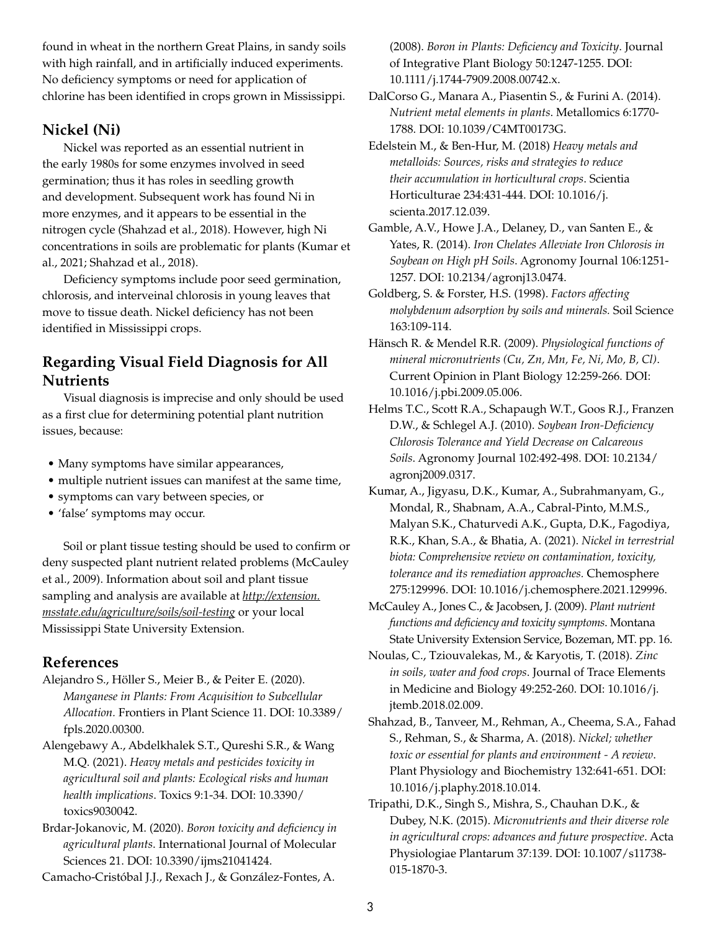found in wheat in the northern Great Plains, in sandy soils with high rainfall, and in artificially induced experiments. No deficiency symptoms or need for application of chlorine has been identified in crops grown in Mississippi.

# **Nickel (Ni)**

Nickel was reported as an essential nutrient in the early 1980s for some enzymes involved in seed germination; thus it has roles in seedling growth and development. Subsequent work has found Ni in more enzymes, and it appears to be essential in the nitrogen cycle (Shahzad et al., 2018). However, high Ni concentrations in soils are problematic for plants (Kumar et al., 2021; Shahzad et al., 2018).

Deficiency symptoms include poor seed germination, chlorosis, and interveinal chlorosis in young leaves that move to tissue death. Nickel deficiency has not been identified in Mississippi crops.

# **Regarding Visual Field Diagnosis for All Nutrients**

Visual diagnosis is imprecise and only should be used as a first clue for determining potential plant nutrition issues, because:

- Many symptoms have similar appearances,
- multiple nutrient issues can manifest at the same time,
- symptoms can vary between species, or
- 'false' symptoms may occur.

Soil or plant tissue testing should be used to confirm or deny suspected plant nutrient related problems (McCauley et al., 2009). Information about soil and plant tissue sampling and analysis are available at *[http://extension.](http://extension.msstate.edu/agriculture/soils/soil-testing) [msstate.edu/agriculture/soils/soil-testing](http://extension.msstate.edu/agriculture/soils/soil-testing)* or your local Mississippi State University Extension.

## **References**

Alejandro S., Höller S., Meier B., & Peiter E. (2020). *Manganese in Plants: From Acquisition to Subcellular Allocation.* Frontiers in Plant Science 11. DOI: 10.3389/ fpls.2020.00300.

Alengebawy A., Abdelkhalek S.T., Qureshi S.R., & Wang M.Q. (2021). *Heavy metals and pesticides toxicity in agricultural soil and plants: Ecological risks and human health implications*. Toxics 9:1-34. DOI: 10.3390/ toxics9030042.

Brdar-Jokanovic, M. (2020). *Boron toxicity and deficiency in agricultural plants*. International Journal of Molecular Sciences 21. DOI: 10.3390/ijms21041424.

Camacho-Cristóbal J.J., Rexach J., & González-Fontes, A.

(2008). *Boron in Plants: Deficiency and Toxicity*. Journal of Integrative Plant Biology 50:1247-1255. DOI: 10.1111/j.1744-7909.2008.00742.x.

DalCorso G., Manara A., Piasentin S., & Furini A. (2014). *Nutrient metal elements in plants*. Metallomics 6:1770- 1788. DOI: 10.1039/C4MT00173G.

Edelstein M., & Ben-Hur, M. (2018) *Heavy metals and metalloids: Sources, risks and strategies to reduce their accumulation in horticultural crops*. Scientia Horticulturae 234:431-444. DOI: 10.1016/j. scienta.2017.12.039.

Gamble, A.V., Howe J.A., Delaney, D., van Santen E., & Yates, R. (2014). *Iron Chelates Alleviate Iron Chlorosis in Soybean on High pH Soils*. Agronomy Journal 106:1251- 1257. DOI: 10.2134/agronj13.0474.

Goldberg, S. & Forster, H.S. (1998). *Factors affecting molybdenum adsorption by soils and minerals.* Soil Science 163:109-114.

Hänsch R. & Mendel R.R. (2009). *Physiological functions of mineral micronutrients (Cu, Zn, Mn, Fe, Ni, Mo, B, Cl)*. Current Opinion in Plant Biology 12:259-266. DOI: 10.1016/j.pbi.2009.05.006.

Helms T.C., Scott R.A., Schapaugh W.T., Goos R.J., Franzen D.W., & Schlegel A.J. (2010). *Soybean Iron-Deficiency Chlorosis Tolerance and Yield Decrease on Calcareous Soils*. Agronomy Journal 102:492-498. DOI: 10.2134/ agronj2009.0317.

Kumar, A., Jigyasu, D.K., Kumar, A., Subrahmanyam, G., Mondal, R., Shabnam, A.A., Cabral-Pinto, M.M.S., Malyan S.K., Chaturvedi A.K., Gupta, D.K., Fagodiya, R.K., Khan, S.A., & Bhatia, A. (2021). *Nickel in terrestrial biota: Comprehensive review on contamination, toxicity, tolerance and its remediation approaches.* Chemosphere 275:129996. DOI: 10.1016/j.chemosphere.2021.129996.

McCauley A., Jones C., & Jacobsen, J. (2009). *Plant nutrient functions and deficiency and toxicity symptoms*. Montana State University Extension Service, Bozeman, MT. pp. 16.

Noulas, C., Tziouvalekas, M., & Karyotis, T. (2018). *Zinc in soils, water and food crops*. Journal of Trace Elements in Medicine and Biology 49:252-260. DOI: 10.1016/j. jtemb.2018.02.009.

Shahzad, B., Tanveer, M., Rehman, A., Cheema, S.A., Fahad S., Rehman, S., & Sharma, A. (2018). *Nickel; whether toxic or essential for plants and environment - A review*. Plant Physiology and Biochemistry 132:641-651. DOI: 10.1016/j.plaphy.2018.10.014.

Tripathi, D.K., Singh S., Mishra, S., Chauhan D.K., & Dubey, N.K. (2015). *Micronutrients and their diverse role in agricultural crops: advances and future prospective*. Acta Physiologiae Plantarum 37:139. DOI: 10.1007/s11738- 015-1870-3.